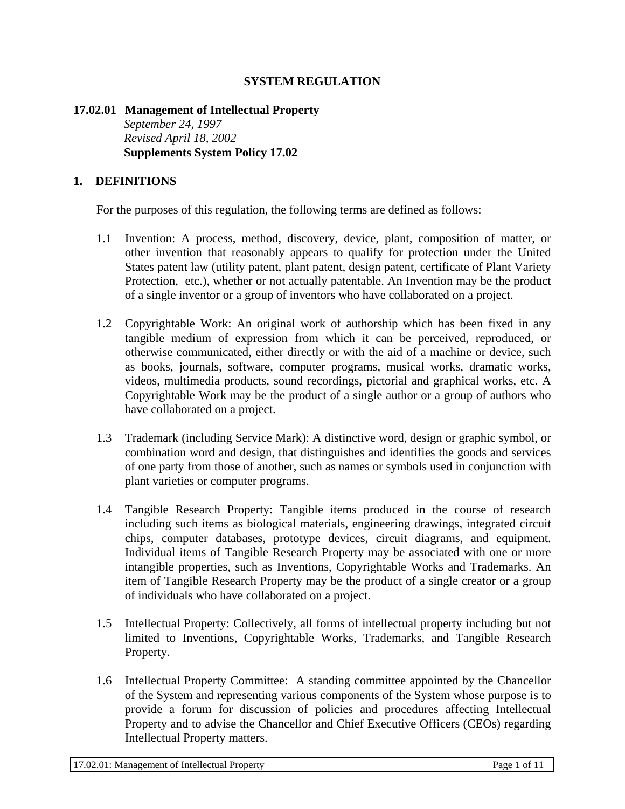## **SYSTEM REGULATION**

### **17.02.01 Management of Intellectual Property**  *September 24, 1997 Revised April 18, 2002*  **Supplements System Policy 17.02**

#### **1. DEFINITIONS**

For the purposes of this regulation, the following terms are defined as follows:

- 1.1 Invention: A process, method, discovery, device, plant, composition of matter, or other invention that reasonably appears to qualify for protection under the United States patent law (utility patent, plant patent, design patent, certificate of Plant Variety Protection, etc.), whether or not actually patentable. An Invention may be the product of a single inventor or a group of inventors who have collaborated on a project.
- 1.2 Copyrightable Work: An original work of authorship which has been fixed in any tangible medium of expression from which it can be perceived, reproduced, or otherwise communicated, either directly or with the aid of a machine or device, such as books, journals, software, computer programs, musical works, dramatic works, videos, multimedia products, sound recordings, pictorial and graphical works, etc. A Copyrightable Work may be the product of a single author or a group of authors who have collaborated on a project.
- 1.3 Trademark (including Service Mark): A distinctive word, design or graphic symbol, or combination word and design, that distinguishes and identifies the goods and services of one party from those of another, such as names or symbols used in conjunction with plant varieties or computer programs.
- 1.4 Tangible Research Property: Tangible items produced in the course of research including such items as biological materials, engineering drawings, integrated circuit chips, computer databases, prototype devices, circuit diagrams, and equipment. Individual items of Tangible Research Property may be associated with one or more intangible properties, such as Inventions, Copyrightable Works and Trademarks. An item of Tangible Research Property may be the product of a single creator or a group of individuals who have collaborated on a project.
- 1.5 Intellectual Property: Collectively, all forms of intellectual property including but not limited to Inventions, Copyrightable Works, Trademarks, and Tangible Research Property.
- 1.6 Intellectual Property Committee: A standing committee appointed by the Chancellor of the System and representing various components of the System whose purpose is to provide a forum for discussion of policies and procedures affecting Intellectual Property and to advise the Chancellor and Chief Executive Officers (CEOs) regarding Intellectual Property matters.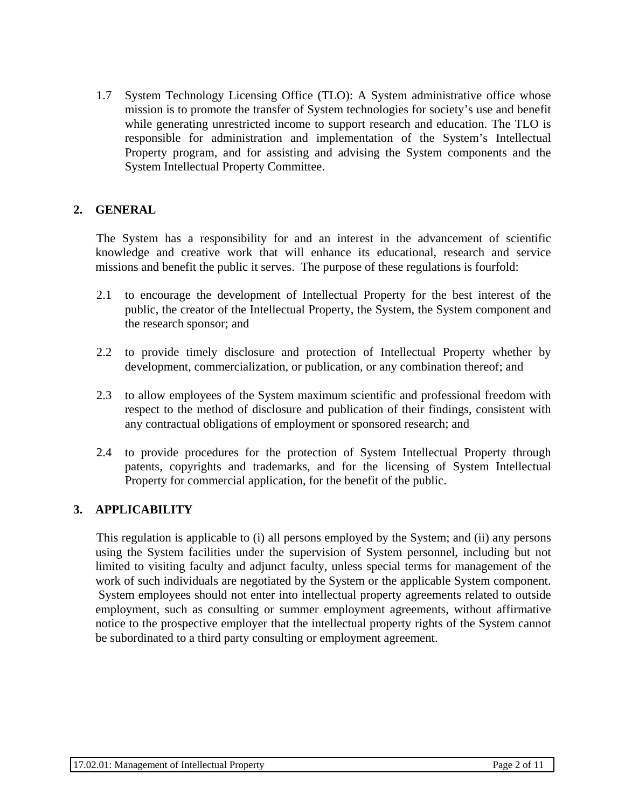1.7 System Technology Licensing Office (TLO): A System administrative office whose mission is to promote the transfer of System technologies for society's use and benefit while generating unrestricted income to support research and education. The TLO is responsible for administration and implementation of the System's Intellectual Property program, and for assisting and advising the System components and the System Intellectual Property Committee.

## **2. GENERAL**

The System has a responsibility for and an interest in the advancement of scientific knowledge and creative work that will enhance its educational, research and service missions and benefit the public it serves. The purpose of these regulations is fourfold:

- 2.1 to encourage the development of Intellectual Property for the best interest of the public, the creator of the Intellectual Property, the System, the System component and the research sponsor; and
- 2.2 to provide timely disclosure and protection of Intellectual Property whether by development, commercialization, or publication, or any combination thereof; and
- 2.3 to allow employees of the System maximum scientific and professional freedom with respect to the method of disclosure and publication of their findings, consistent with any contractual obligations of employment or sponsored research; and
- 2.4 to provide procedures for the protection of System Intellectual Property through patents, copyrights and trademarks, and for the licensing of System Intellectual Property for commercial application, for the benefit of the public.

## **3. APPLICABILITY**

This regulation is applicable to (i) all persons employed by the System; and (ii) any persons using the System facilities under the supervision of System personnel, including but not limited to visiting faculty and adjunct faculty, unless special terms for management of the work of such individuals are negotiated by the System or the applicable System component. System employees should not enter into intellectual property agreements related to outside employment, such as consulting or summer employment agreements, without affirmative notice to the prospective employer that the intellectual property rights of the System cannot be subordinated to a third party consulting or employment agreement.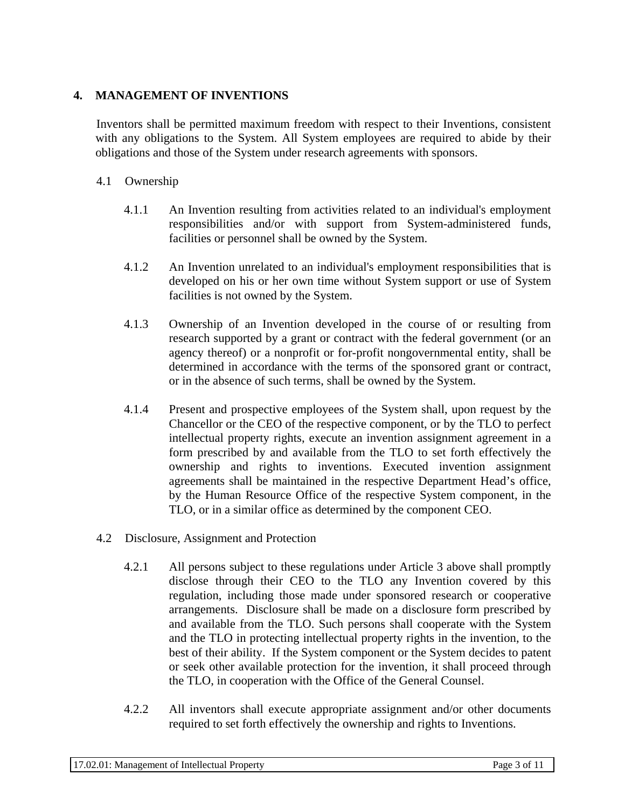## **4. MANAGEMENT OF INVENTIONS**

Inventors shall be permitted maximum freedom with respect to their Inventions, consistent with any obligations to the System. All System employees are required to abide by their obligations and those of the System under research agreements with sponsors.

## 4.1 Ownership

- 4.1.1 An Invention resulting from activities related to an individual's employment responsibilities and/or with support from System-administered funds, facilities or personnel shall be owned by the System.
- 4.1.2 An Invention unrelated to an individual's employment responsibilities that is developed on his or her own time without System support or use of System facilities is not owned by the System.
- 4.1.3 Ownership of an Invention developed in the course of or resulting from research supported by a grant or contract with the federal government (or an agency thereof) or a nonprofit or for-profit nongovernmental entity, shall be determined in accordance with the terms of the sponsored grant or contract, or in the absence of such terms, shall be owned by the System.
- 4.1.4 Present and prospective employees of the System shall, upon request by the Chancellor or the CEO of the respective component, or by the TLO to perfect intellectual property rights, execute an invention assignment agreement in a form prescribed by and available from the TLO to set forth effectively the ownership and rights to inventions. Executed invention assignment agreements shall be maintained in the respective Department Head's office, by the Human Resource Office of the respective System component, in the TLO, or in a similar office as determined by the component CEO.
- 4.2 Disclosure, Assignment and Protection
	- 4.2.1 All persons subject to these regulations under Article 3 above shall promptly disclose through their CEO to the TLO any Invention covered by this regulation, including those made under sponsored research or cooperative arrangements. Disclosure shall be made on a disclosure form prescribed by and available from the TLO. Such persons shall cooperate with the System and the TLO in protecting intellectual property rights in the invention, to the best of their ability. If the System component or the System decides to patent or seek other available protection for the invention, it shall proceed through the TLO, in cooperation with the Office of the General Counsel.
	- 4.2.2 All inventors shall execute appropriate assignment and/or other documents required to set forth effectively the ownership and rights to Inventions.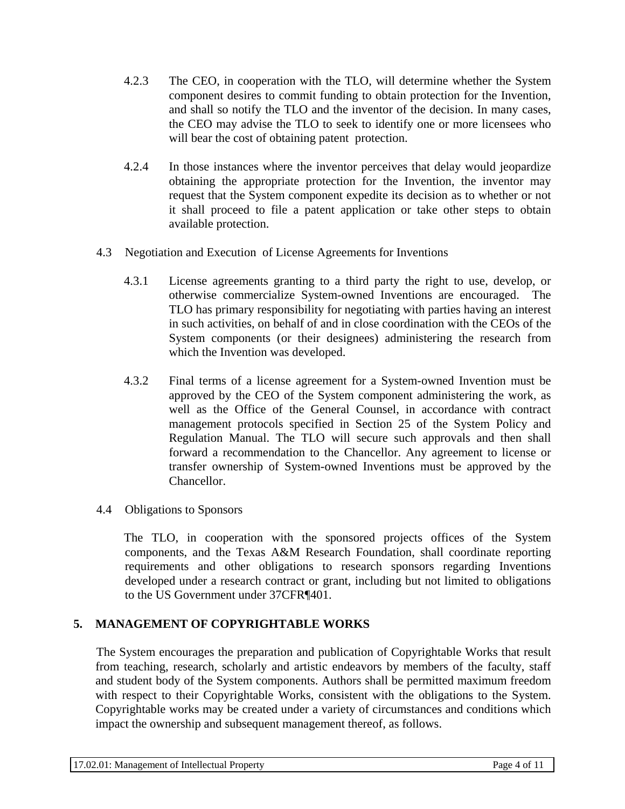- 4.2.3 The CEO, in cooperation with the TLO, will determine whether the System component desires to commit funding to obtain protection for the Invention, and shall so notify the TLO and the inventor of the decision. In many cases, the CEO may advise the TLO to seek to identify one or more licensees who will bear the cost of obtaining patent protection.
- 4.2.4 In those instances where the inventor perceives that delay would jeopardize obtaining the appropriate protection for the Invention, the inventor may request that the System component expedite its decision as to whether or not it shall proceed to file a patent application or take other steps to obtain available protection.
- 4.3 Negotiation and Execution of License Agreements for Inventions
	- 4.3.1 License agreements granting to a third party the right to use, develop, or otherwise commercialize System-owned Inventions are encouraged. The TLO has primary responsibility for negotiating with parties having an interest in such activities, on behalf of and in close coordination with the CEOs of the System components (or their designees) administering the research from which the Invention was developed.
	- 4.3.2 Final terms of a license agreement for a System-owned Invention must be approved by the CEO of the System component administering the work, as well as the Office of the General Counsel, in accordance with contract management protocols specified in Section 25 of the System Policy and Regulation Manual. The TLO will secure such approvals and then shall forward a recommendation to the Chancellor. Any agreement to license or transfer ownership of System-owned Inventions must be approved by the Chancellor.
- 4.4 Obligations to Sponsors

The TLO, in cooperation with the sponsored projects offices of the System components, and the Texas A&M Research Foundation, shall coordinate reporting requirements and other obligations to research sponsors regarding Inventions developed under a research contract or grant, including but not limited to obligations to the US Government under 37CFR¶401.

# **5. MANAGEMENT OF COPYRIGHTABLE WORKS**

The System encourages the preparation and publication of Copyrightable Works that result from teaching, research, scholarly and artistic endeavors by members of the faculty, staff and student body of the System components. Authors shall be permitted maximum freedom with respect to their Copyrightable Works, consistent with the obligations to the System. Copyrightable works may be created under a variety of circumstances and conditions which impact the ownership and subsequent management thereof, as follows.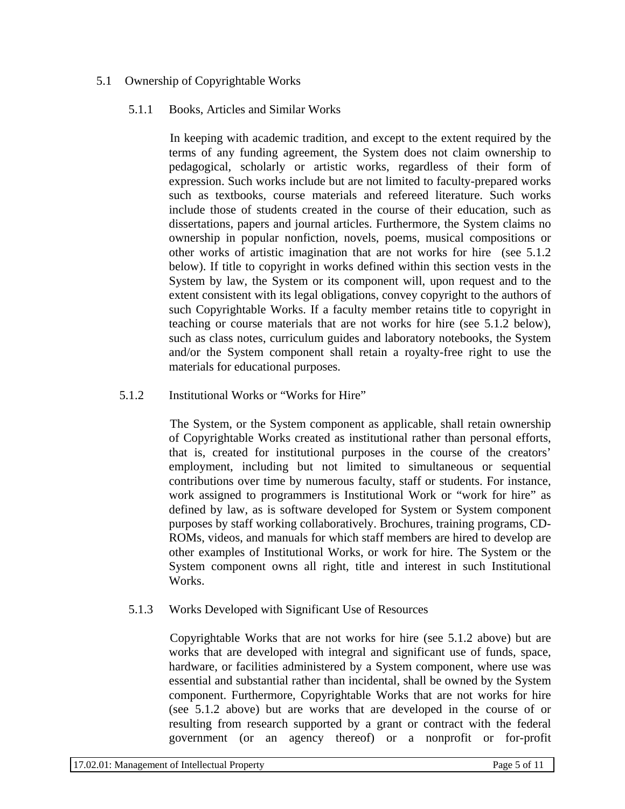## 5.1 Ownership of Copyrightable Works

#### 5.1.1 Books, Articles and Similar Works

In keeping with academic tradition, and except to the extent required by the terms of any funding agreement, the System does not claim ownership to pedagogical, scholarly or artistic works, regardless of their form of expression. Such works include but are not limited to faculty-prepared works such as textbooks, course materials and refereed literature. Such works include those of students created in the course of their education, such as dissertations, papers and journal articles. Furthermore, the System claims no ownership in popular nonfiction, novels, poems, musical compositions or other works of artistic imagination that are not works for hire (see 5.1.2 below). If title to copyright in works defined within this section vests in the System by law, the System or its component will, upon request and to the extent consistent with its legal obligations, convey copyright to the authors of such Copyrightable Works. If a faculty member retains title to copyright in teaching or course materials that are not works for hire (see 5.1.2 below), such as class notes, curriculum guides and laboratory notebooks, the System and/or the System component shall retain a royalty-free right to use the materials for educational purposes.

#### 5.1.2 Institutional Works or "Works for Hire"

The System, or the System component as applicable, shall retain ownership of Copyrightable Works created as institutional rather than personal efforts, that is, created for institutional purposes in the course of the creators' employment, including but not limited to simultaneous or sequential contributions over time by numerous faculty, staff or students. For instance, work assigned to programmers is Institutional Work or "work for hire" as defined by law, as is software developed for System or System component purposes by staff working collaboratively. Brochures, training programs, CD-ROMs, videos, and manuals for which staff members are hired to develop are other examples of Institutional Works, or work for hire. The System or the System component owns all right, title and interest in such Institutional Works.

## 5.1.3 Works Developed with Significant Use of Resources

Copyrightable Works that are not works for hire (see 5.1.2 above) but are works that are developed with integral and significant use of funds, space, hardware, or facilities administered by a System component, where use was essential and substantial rather than incidental, shall be owned by the System component. Furthermore, Copyrightable Works that are not works for hire (see 5.1.2 above) but are works that are developed in the course of or resulting from research supported by a grant or contract with the federal government (or an agency thereof) or a nonprofit or for-profit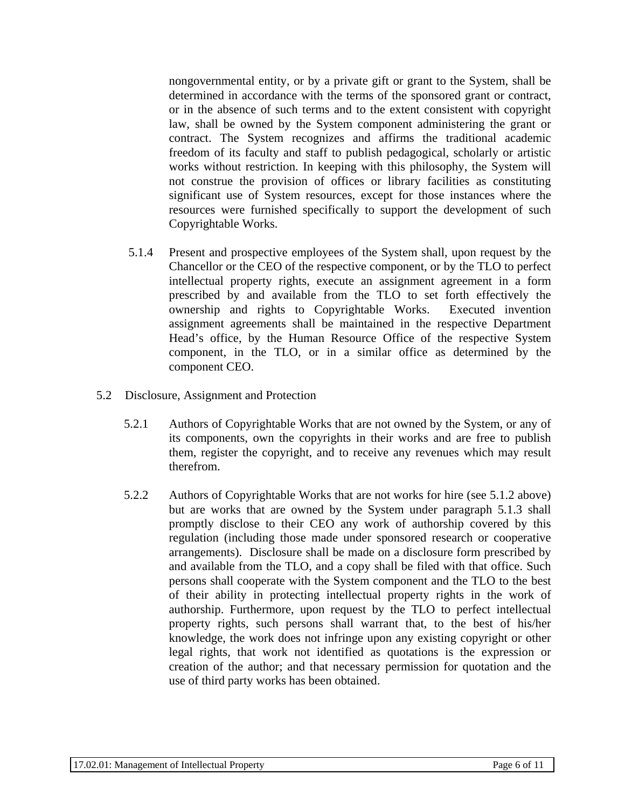nongovernmental entity, or by a private gift or grant to the System, shall be determined in accordance with the terms of the sponsored grant or contract, or in the absence of such terms and to the extent consistent with copyright law, shall be owned by the System component administering the grant or contract. The System recognizes and affirms the traditional academic freedom of its faculty and staff to publish pedagogical, scholarly or artistic works without restriction. In keeping with this philosophy, the System will not construe the provision of offices or library facilities as constituting significant use of System resources, except for those instances where the resources were furnished specifically to support the development of such Copyrightable Works.

- 5.1.4 Present and prospective employees of the System shall, upon request by the Chancellor or the CEO of the respective component, or by the TLO to perfect intellectual property rights, execute an assignment agreement in a form prescribed by and available from the TLO to set forth effectively the ownership and rights to Copyrightable Works. Executed invention assignment agreements shall be maintained in the respective Department Head's office, by the Human Resource Office of the respective System component, in the TLO, or in a similar office as determined by the component CEO.
- 5.2 Disclosure, Assignment and Protection
	- 5.2.1 Authors of Copyrightable Works that are not owned by the System, or any of its components, own the copyrights in their works and are free to publish them, register the copyright, and to receive any revenues which may result therefrom.
	- 5.2.2 Authors of Copyrightable Works that are not works for hire (see 5.1.2 above) but are works that are owned by the System under paragraph 5.1.3 shall promptly disclose to their CEO any work of authorship covered by this regulation (including those made under sponsored research or cooperative arrangements). Disclosure shall be made on a disclosure form prescribed by and available from the TLO, and a copy shall be filed with that office. Such persons shall cooperate with the System component and the TLO to the best of their ability in protecting intellectual property rights in the work of authorship. Furthermore, upon request by the TLO to perfect intellectual property rights, such persons shall warrant that, to the best of his/her knowledge, the work does not infringe upon any existing copyright or other legal rights, that work not identified as quotations is the expression or creation of the author; and that necessary permission for quotation and the use of third party works has been obtained.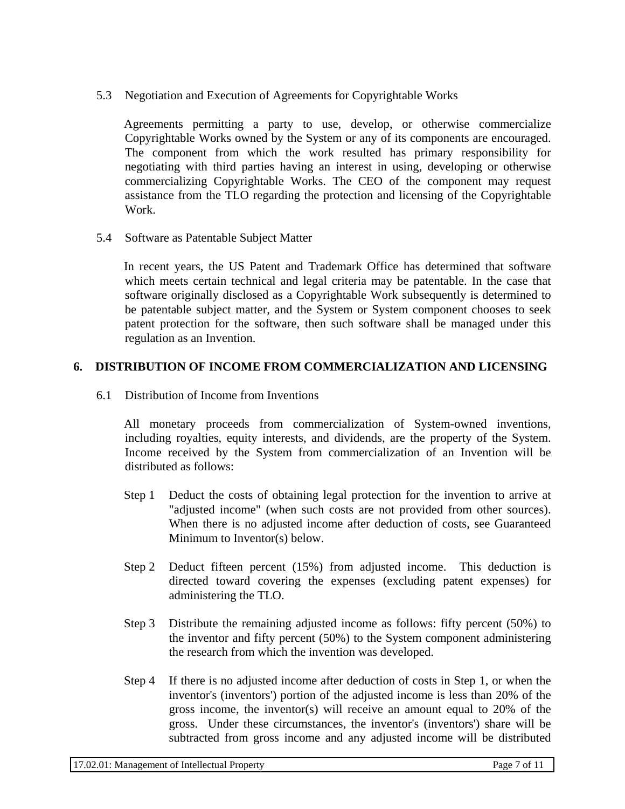5.3 Negotiation and Execution of Agreements for Copyrightable Works

Agreements permitting a party to use, develop, or otherwise commercialize Copyrightable Works owned by the System or any of its components are encouraged. The component from which the work resulted has primary responsibility for negotiating with third parties having an interest in using, developing or otherwise commercializing Copyrightable Works. The CEO of the component may request assistance from the TLO regarding the protection and licensing of the Copyrightable Work.

5.4 Software as Patentable Subject Matter

In recent years, the US Patent and Trademark Office has determined that software which meets certain technical and legal criteria may be patentable. In the case that software originally disclosed as a Copyrightable Work subsequently is determined to be patentable subject matter, and the System or System component chooses to seek patent protection for the software, then such software shall be managed under this regulation as an Invention.

## **6. DISTRIBUTION OF INCOME FROM COMMERCIALIZATION AND LICENSING**

6.1 Distribution of Income from Inventions

All monetary proceeds from commercialization of System-owned inventions, including royalties, equity interests, and dividends, are the property of the System. Income received by the System from commercialization of an Invention will be distributed as follows:

- Step 1 Deduct the costs of obtaining legal protection for the invention to arrive at "adjusted income" (when such costs are not provided from other sources). When there is no adjusted income after deduction of costs, see Guaranteed Minimum to Inventor(s) below.
- Step 2 Deduct fifteen percent (15%) from adjusted income. This deduction is directed toward covering the expenses (excluding patent expenses) for administering the TLO.
- Step 3 Distribute the remaining adjusted income as follows: fifty percent (50%) to the inventor and fifty percent (50%) to the System component administering the research from which the invention was developed.
- Step 4 If there is no adjusted income after deduction of costs in Step 1, or when the inventor's (inventors') portion of the adjusted income is less than 20% of the gross income, the inventor(s) will receive an amount equal to 20% of the gross. Under these circumstances, the inventor's (inventors') share will be subtracted from gross income and any adjusted income will be distributed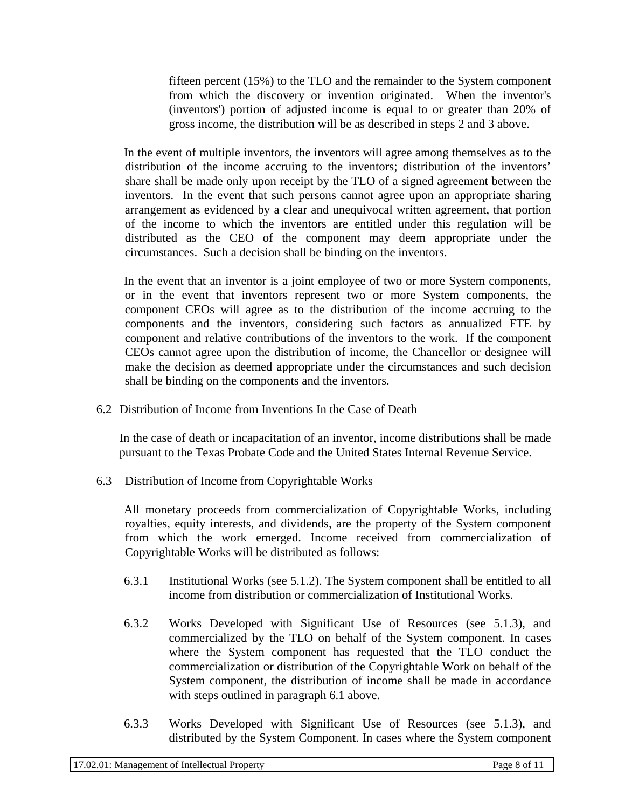fifteen percent (15%) to the TLO and the remainder to the System component from which the discovery or invention originated. When the inventor's (inventors') portion of adjusted income is equal to or greater than 20% of gross income, the distribution will be as described in steps 2 and 3 above.

In the event of multiple inventors, the inventors will agree among themselves as to the distribution of the income accruing to the inventors; distribution of the inventors' share shall be made only upon receipt by the TLO of a signed agreement between the inventors. In the event that such persons cannot agree upon an appropriate sharing arrangement as evidenced by a clear and unequivocal written agreement, that portion of the income to which the inventors are entitled under this regulation will be distributed as the CEO of the component may deem appropriate under the circumstances. Such a decision shall be binding on the inventors.

In the event that an inventor is a joint employee of two or more System components, or in the event that inventors represent two or more System components, the component CEOs will agree as to the distribution of the income accruing to the components and the inventors, considering such factors as annualized FTE by component and relative contributions of the inventors to the work. If the component CEOs cannot agree upon the distribution of income, the Chancellor or designee will make the decision as deemed appropriate under the circumstances and such decision shall be binding on the components and the inventors.

6.2 Distribution of Income from Inventions In the Case of Death

In the case of death or incapacitation of an inventor, income distributions shall be made pursuant to the Texas Probate Code and the United States Internal Revenue Service.

6.3 Distribution of Income from Copyrightable Works

All monetary proceeds from commercialization of Copyrightable Works, including royalties, equity interests, and dividends, are the property of the System component from which the work emerged. Income received from commercialization of Copyrightable Works will be distributed as follows:

- 6.3.1 Institutional Works (see 5.1.2). The System component shall be entitled to all income from distribution or commercialization of Institutional Works.
- 6.3.2 Works Developed with Significant Use of Resources (see 5.1.3), and commercialized by the TLO on behalf of the System component. In cases where the System component has requested that the TLO conduct the commercialization or distribution of the Copyrightable Work on behalf of the System component, the distribution of income shall be made in accordance with steps outlined in paragraph 6.1 above.
- 6.3.3 Works Developed with Significant Use of Resources (see 5.1.3), and distributed by the System Component. In cases where the System component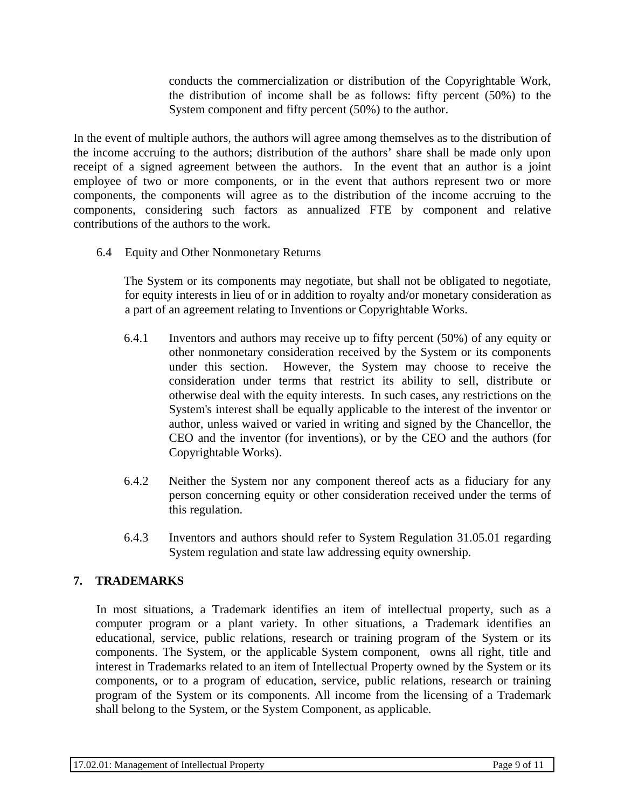conducts the commercialization or distribution of the Copyrightable Work, the distribution of income shall be as follows: fifty percent (50%) to the System component and fifty percent (50%) to the author.

In the event of multiple authors, the authors will agree among themselves as to the distribution of the income accruing to the authors; distribution of the authors' share shall be made only upon receipt of a signed agreement between the authors. In the event that an author is a joint employee of two or more components, or in the event that authors represent two or more components, the components will agree as to the distribution of the income accruing to the components, considering such factors as annualized FTE by component and relative contributions of the authors to the work.

6.4 Equity and Other Nonmonetary Returns

The System or its components may negotiate, but shall not be obligated to negotiate, for equity interests in lieu of or in addition to royalty and/or monetary consideration as a part of an agreement relating to Inventions or Copyrightable Works.

- 6.4.1 Inventors and authors may receive up to fifty percent (50%) of any equity or other nonmonetary consideration received by the System or its components under this section. However, the System may choose to receive the consideration under terms that restrict its ability to sell, distribute or otherwise deal with the equity interests. In such cases, any restrictions on the System's interest shall be equally applicable to the interest of the inventor or author, unless waived or varied in writing and signed by the Chancellor, the CEO and the inventor (for inventions), or by the CEO and the authors (for Copyrightable Works).
- 6.4.2 Neither the System nor any component thereof acts as a fiduciary for any person concerning equity or other consideration received under the terms of this regulation.
- 6.4.3 Inventors and authors should refer to System Regulation 31.05.01 regarding System regulation and state law addressing equity ownership.

# **7. TRADEMARKS**

In most situations, a Trademark identifies an item of intellectual property, such as a computer program or a plant variety. In other situations, a Trademark identifies an educational, service, public relations, research or training program of the System or its components. The System, or the applicable System component, owns all right, title and interest in Trademarks related to an item of Intellectual Property owned by the System or its components, or to a program of education, service, public relations, research or training program of the System or its components. All income from the licensing of a Trademark shall belong to the System, or the System Component, as applicable.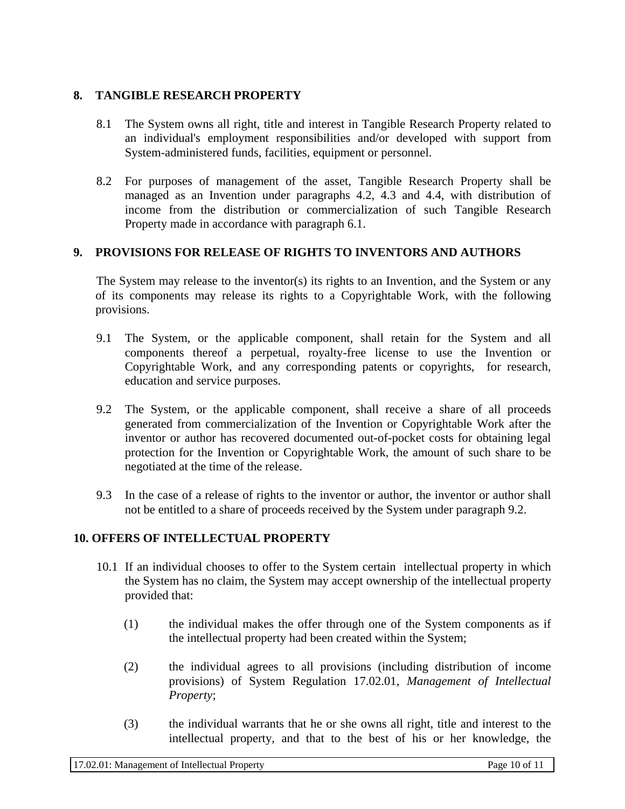## **8. TANGIBLE RESEARCH PROPERTY**

- 8.1 The System owns all right, title and interest in Tangible Research Property related to an individual's employment responsibilities and/or developed with support from System-administered funds, facilities, equipment or personnel.
- 8.2 For purposes of management of the asset, Tangible Research Property shall be managed as an Invention under paragraphs 4.2, 4.3 and 4.4, with distribution of income from the distribution or commercialization of such Tangible Research Property made in accordance with paragraph 6.1.

## **9. PROVISIONS FOR RELEASE OF RIGHTS TO INVENTORS AND AUTHORS**

The System may release to the inventor(s) its rights to an Invention, and the System or any of its components may release its rights to a Copyrightable Work, with the following provisions.

- 9.1 The System, or the applicable component, shall retain for the System and all components thereof a perpetual, royalty-free license to use the Invention or Copyrightable Work, and any corresponding patents or copyrights, for research, education and service purposes.
- 9.2 The System, or the applicable component, shall receive a share of all proceeds generated from commercialization of the Invention or Copyrightable Work after the inventor or author has recovered documented out-of-pocket costs for obtaining legal protection for the Invention or Copyrightable Work, the amount of such share to be negotiated at the time of the release.
- 9.3 In the case of a release of rights to the inventor or author, the inventor or author shall not be entitled to a share of proceeds received by the System under paragraph 9.2.

## **10. OFFERS OF INTELLECTUAL PROPERTY**

- 10.1 If an individual chooses to offer to the System certain intellectual property in which the System has no claim, the System may accept ownership of the intellectual property provided that:
	- (1) the individual makes the offer through one of the System components as if the intellectual property had been created within the System;
	- (2) the individual agrees to all provisions (including distribution of income provisions) of System Regulation 17.02.01, *Management of Intellectual Property*;
	- (3) the individual warrants that he or she owns all right, title and interest to the intellectual property, and that to the best of his or her knowledge, the